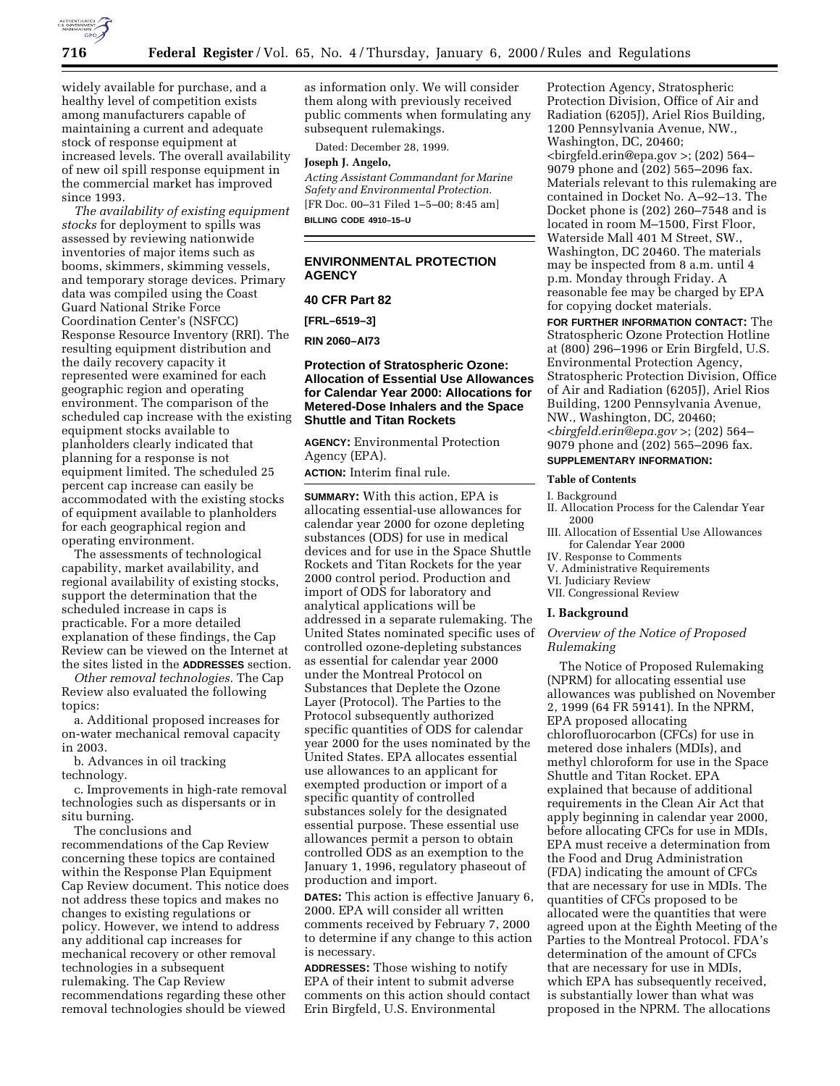

widely available for purchase, and a healthy level of competition exists among manufacturers capable of maintaining a current and adequate stock of response equipment at increased levels. The overall availability of new oil spill response equipment in the commercial market has improved since 1993.

*The availability of existing equipment stocks* for deployment to spills was assessed by reviewing nationwide inventories of major items such as booms, skimmers, skimming vessels, and temporary storage devices. Primary data was compiled using the Coast Guard National Strike Force Coordination Center's (NSFCC) Response Resource Inventory (RRI). The resulting equipment distribution and the daily recovery capacity it represented were examined for each geographic region and operating environment. The comparison of the scheduled cap increase with the existing equipment stocks available to planholders clearly indicated that planning for a response is not equipment limited. The scheduled 25 percent cap increase can easily be accommodated with the existing stocks of equipment available to planholders for each geographical region and operating environment.

The assessments of technological capability, market availability, and regional availability of existing stocks, support the determination that the scheduled increase in caps is practicable. For a more detailed explanation of these findings, the Cap Review can be viewed on the Internet at the sites listed in the **ADDRESSES** section.

*Other removal technologies.* The Cap Review also evaluated the following topics:

a. Additional proposed increases for on-water mechanical removal capacity in 2003.

b. Advances in oil tracking technology.

c. Improvements in high-rate removal technologies such as dispersants or in situ burning.

The conclusions and recommendations of the Cap Review concerning these topics are contained within the Response Plan Equipment Cap Review document. This notice does not address these topics and makes no changes to existing regulations or policy. However, we intend to address any additional cap increases for mechanical recovery or other removal technologies in a subsequent rulemaking. The Cap Review recommendations regarding these other removal technologies should be viewed

as information only. We will consider them along with previously received public comments when formulating any subsequent rulemakings.

Dated: December 28, 1999.

#### **Joseph J. Angelo,**

*Acting Assistant Commandant for Marine Safety and Environmental Protection.* [FR Doc. 00–31 Filed 1–5–00; 8:45 am] **BILLING CODE 4910–15–U**

## **ENVIRONMENTAL PROTECTION AGENCY**

#### **40 CFR Part 82**

**[FRL–6519–3]**

**RIN 2060–AI73**

## **Protection of Stratospheric Ozone: Allocation of Essential Use Allowances for Calendar Year 2000: Allocations for Metered-Dose Inhalers and the Space Shuttle and Titan Rockets**

**AGENCY:** Environmental Protection Agency (EPA).

**ACTION:** Interim final rule.

**SUMMARY:** With this action, EPA is allocating essential-use allowances for calendar year 2000 for ozone depleting substances (ODS) for use in medical devices and for use in the Space Shuttle Rockets and Titan Rockets for the year 2000 control period. Production and import of ODS for laboratory and analytical applications will be addressed in a separate rulemaking. The United States nominated specific uses of controlled ozone-depleting substances as essential for calendar year 2000 under the Montreal Protocol on Substances that Deplete the Ozone Layer (Protocol). The Parties to the Protocol subsequently authorized specific quantities of ODS for calendar year 2000 for the uses nominated by the United States. EPA allocates essential use allowances to an applicant for exempted production or import of a specific quantity of controlled substances solely for the designated essential purpose. These essential use allowances permit a person to obtain controlled ODS as an exemption to the January 1, 1996, regulatory phaseout of production and import.

**DATES:** This action is effective January 6, 2000. EPA will consider all written comments received by February 7, 2000 to determine if any change to this action is necessary.

**ADDRESSES:** Those wishing to notify EPA of their intent to submit adverse comments on this action should contact Erin Birgfeld, U.S. Environmental

Protection Agency, Stratospheric Protection Division, Office of Air and Radiation (6205J), Ariel Rios Building, 1200 Pennsylvania Avenue, NW., Washington, DC, 20460; <birgfeld.erin@epa.gov >; (202) 564– 9079 phone and (202) 565–2096 fax. Materials relevant to this rulemaking are contained in Docket No. A–92–13. The Docket phone is (202) 260–7548 and is located in room M–1500, First Floor, Waterside Mall 401 M Street, SW., Washington, DC 20460. The materials may be inspected from 8 a.m. until 4 p.m. Monday through Friday. A reasonable fee may be charged by EPA for copying docket materials.

**FOR FURTHER INFORMATION CONTACT:** The Stratospheric Ozone Protection Hotline at (800) 296–1996 or Erin Birgfeld, U.S. Environmental Protection Agency, Stratospheric Protection Division, Office of Air and Radiation (6205J), Ariel Rios Building, 1200 Pennsylvania Avenue, NW., Washington, DC, 20460; <*birgfeld.erin@epa.gov* >; (202) 564– 9079 phone and (202) 565–2096 fax.

# **SUPPLEMENTARY INFORMATION:**

#### **Table of Contents**

I. Background

- II. Allocation Process for the Calendar Year 2000
- III. Allocation of Essential Use Allowances for Calendar Year 2000
- IV. Response to Comments
- V. Administrative Requirements
- VI. Judiciary Review
- VII. Congressional Review

## **I. Background**

## *Overview of the Notice of Proposed Rulemaking*

The Notice of Proposed Rulemaking (NPRM) for allocating essential use allowances was published on November 2, 1999 (64 FR 59141). In the NPRM, EPA proposed allocating chlorofluorocarbon (CFCs) for use in metered dose inhalers (MDIs), and methyl chloroform for use in the Space Shuttle and Titan Rocket. EPA explained that because of additional requirements in the Clean Air Act that apply beginning in calendar year 2000, before allocating CFCs for use in MDIs, EPA must receive a determination from the Food and Drug Administration (FDA) indicating the amount of CFCs that are necessary for use in MDIs. The quantities of CFCs proposed to be allocated were the quantities that were agreed upon at the Eighth Meeting of the Parties to the Montreal Protocol. FDA's determination of the amount of CFCs that are necessary for use in MDIs, which EPA has subsequently received, is substantially lower than what was proposed in the NPRM. The allocations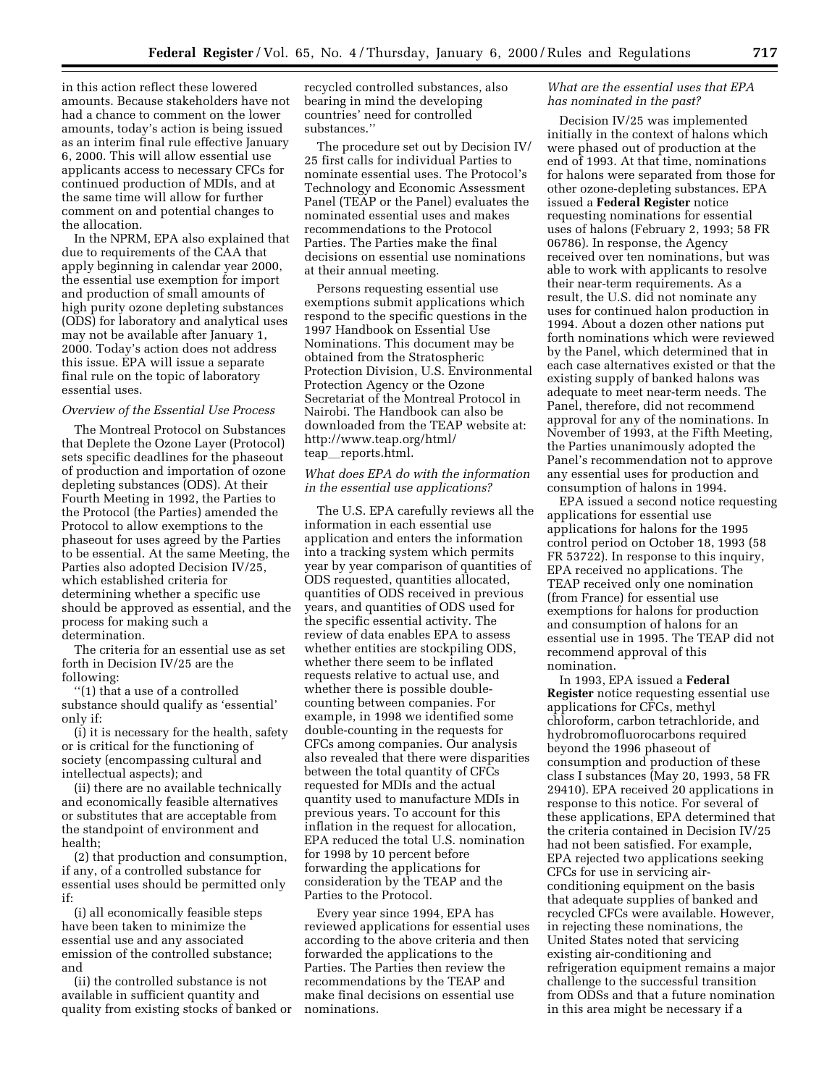in this action reflect these lowered amounts. Because stakeholders have not had a chance to comment on the lower amounts, today's action is being issued as an interim final rule effective January 6, 2000. This will allow essential use applicants access to necessary CFCs for continued production of MDIs, and at the same time will allow for further comment on and potential changes to the allocation.

In the NPRM, EPA also explained that due to requirements of the CAA that apply beginning in calendar year 2000, the essential use exemption for import and production of small amounts of high purity ozone depleting substances (ODS) for laboratory and analytical uses may not be available after January 1, 2000. Today's action does not address this issue. EPA will issue a separate final rule on the topic of laboratory essential uses.

#### *Overview of the Essential Use Process*

The Montreal Protocol on Substances that Deplete the Ozone Layer (Protocol) sets specific deadlines for the phaseout of production and importation of ozone depleting substances (ODS). At their Fourth Meeting in 1992, the Parties to the Protocol (the Parties) amended the Protocol to allow exemptions to the phaseout for uses agreed by the Parties to be essential. At the same Meeting, the Parties also adopted Decision IV/25, which established criteria for determining whether a specific use should be approved as essential, and the process for making such a determination.

The criteria for an essential use as set forth in Decision IV/25 are the following:

''(1) that a use of a controlled substance should qualify as 'essential' only if:

(i) it is necessary for the health, safety or is critical for the functioning of society (encompassing cultural and intellectual aspects); and

(ii) there are no available technically and economically feasible alternatives or substitutes that are acceptable from the standpoint of environment and health;

(2) that production and consumption, if any, of a controlled substance for essential uses should be permitted only if:

(i) all economically feasible steps have been taken to minimize the essential use and any associated emission of the controlled substance; and

(ii) the controlled substance is not available in sufficient quantity and quality from existing stocks of banked or

recycled controlled substances, also bearing in mind the developing countries' need for controlled substances.''

The procedure set out by Decision IV/ 25 first calls for individual Parties to nominate essential uses. The Protocol's Technology and Economic Assessment Panel (TEAP or the Panel) evaluates the nominated essential uses and makes recommendations to the Protocol Parties. The Parties make the final decisions on essential use nominations at their annual meeting.

Persons requesting essential use exemptions submit applications which respond to the specific questions in the 1997 Handbook on Essential Use Nominations. This document may be obtained from the Stratospheric Protection Division, U.S. Environmental Protection Agency or the Ozone Secretariat of the Montreal Protocol in Nairobi. The Handbook can also be downloaded from the TEAP website at: http://www.teap.org/html/ teap\_reports.html.

## *What does EPA do with the information in the essential use applications?*

The U.S. EPA carefully reviews all the information in each essential use application and enters the information into a tracking system which permits year by year comparison of quantities of ODS requested, quantities allocated, quantities of ODS received in previous years, and quantities of ODS used for the specific essential activity. The review of data enables EPA to assess whether entities are stockpiling ODS, whether there seem to be inflated requests relative to actual use, and whether there is possible doublecounting between companies. For example, in 1998 we identified some double-counting in the requests for CFCs among companies. Our analysis also revealed that there were disparities between the total quantity of CFCs requested for MDIs and the actual quantity used to manufacture MDIs in previous years. To account for this inflation in the request for allocation, EPA reduced the total U.S. nomination for 1998 by 10 percent before forwarding the applications for consideration by the TEAP and the Parties to the Protocol.

Every year since 1994, EPA has reviewed applications for essential uses according to the above criteria and then forwarded the applications to the Parties. The Parties then review the recommendations by the TEAP and make final decisions on essential use nominations.

## *What are the essential uses that EPA has nominated in the past?*

Decision IV/25 was implemented initially in the context of halons which were phased out of production at the end of 1993. At that time, nominations for halons were separated from those for other ozone-depleting substances. EPA issued a **Federal Register** notice requesting nominations for essential uses of halons (February 2, 1993; 58 FR 06786). In response, the Agency received over ten nominations, but was able to work with applicants to resolve their near-term requirements. As a result, the U.S. did not nominate any uses for continued halon production in 1994. About a dozen other nations put forth nominations which were reviewed by the Panel, which determined that in each case alternatives existed or that the existing supply of banked halons was adequate to meet near-term needs. The Panel, therefore, did not recommend approval for any of the nominations. In November of 1993, at the Fifth Meeting, the Parties unanimously adopted the Panel's recommendation not to approve any essential uses for production and consumption of halons in 1994.

EPA issued a second notice requesting applications for essential use applications for halons for the 1995 control period on October 18, 1993 (58 FR 53722). In response to this inquiry, EPA received no applications. The TEAP received only one nomination (from France) for essential use exemptions for halons for production and consumption of halons for an essential use in 1995. The TEAP did not recommend approval of this nomination.

In 1993, EPA issued a **Federal Register** notice requesting essential use applications for CFCs, methyl chloroform, carbon tetrachloride, and hydrobromofluorocarbons required beyond the 1996 phaseout of consumption and production of these class I substances (May 20, 1993, 58 FR 29410). EPA received 20 applications in response to this notice. For several of these applications, EPA determined that the criteria contained in Decision IV/25 had not been satisfied. For example, EPA rejected two applications seeking CFCs for use in servicing airconditioning equipment on the basis that adequate supplies of banked and recycled CFCs were available. However, in rejecting these nominations, the United States noted that servicing existing air-conditioning and refrigeration equipment remains a major challenge to the successful transition from ODSs and that a future nomination in this area might be necessary if a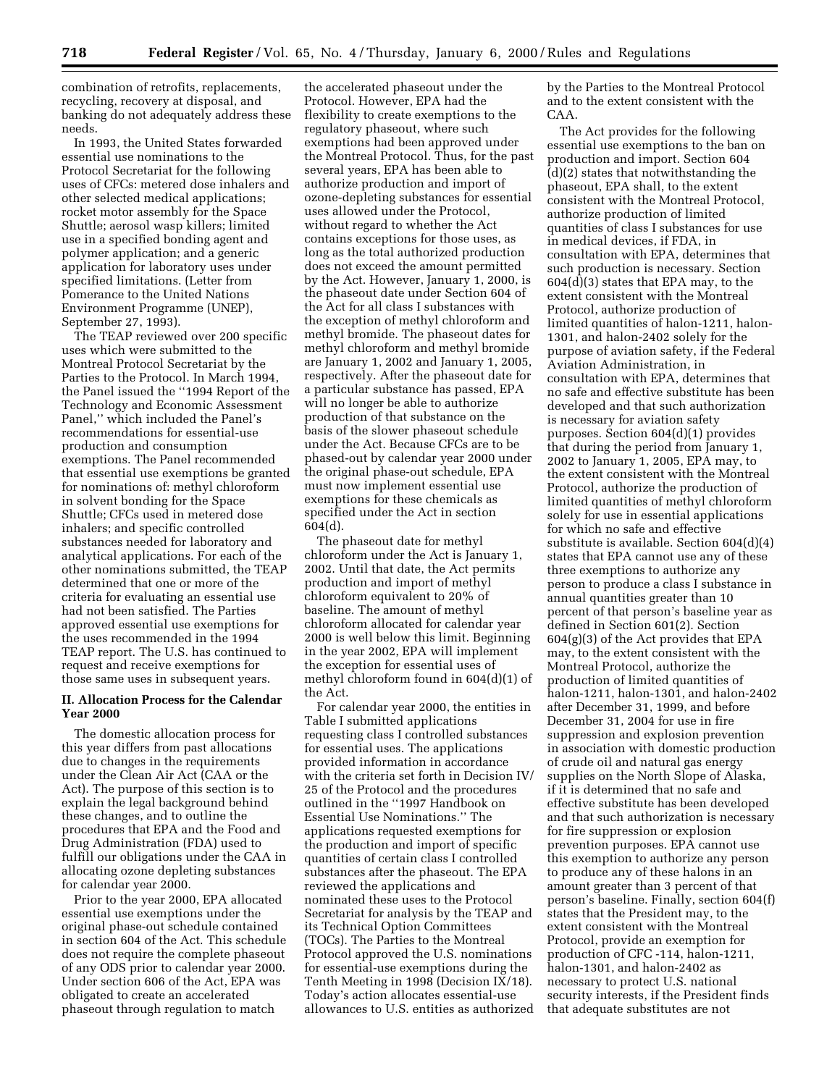combination of retrofits, replacements, recycling, recovery at disposal, and banking do not adequately address these needs.

In 1993, the United States forwarded essential use nominations to the Protocol Secretariat for the following uses of CFCs: metered dose inhalers and other selected medical applications; rocket motor assembly for the Space Shuttle; aerosol wasp killers; limited use in a specified bonding agent and polymer application; and a generic application for laboratory uses under specified limitations. (Letter from Pomerance to the United Nations Environment Programme (UNEP), September 27, 1993).

The TEAP reviewed over 200 specific uses which were submitted to the Montreal Protocol Secretariat by the Parties to the Protocol. In March 1994, the Panel issued the ''1994 Report of the Technology and Economic Assessment Panel,'' which included the Panel's recommendations for essential-use production and consumption exemptions. The Panel recommended that essential use exemptions be granted for nominations of: methyl chloroform in solvent bonding for the Space Shuttle; CFCs used in metered dose inhalers; and specific controlled substances needed for laboratory and analytical applications. For each of the other nominations submitted, the TEAP determined that one or more of the criteria for evaluating an essential use had not been satisfied. The Parties approved essential use exemptions for the uses recommended in the 1994 TEAP report. The U.S. has continued to request and receive exemptions for those same uses in subsequent years.

## **II. Allocation Process for the Calendar Year 2000**

The domestic allocation process for this year differs from past allocations due to changes in the requirements under the Clean Air Act (CAA or the Act). The purpose of this section is to explain the legal background behind these changes, and to outline the procedures that EPA and the Food and Drug Administration (FDA) used to fulfill our obligations under the CAA in allocating ozone depleting substances for calendar year 2000.

Prior to the year 2000, EPA allocated essential use exemptions under the original phase-out schedule contained in section 604 of the Act. This schedule does not require the complete phaseout of any ODS prior to calendar year 2000. Under section 606 of the Act, EPA was obligated to create an accelerated phaseout through regulation to match

the accelerated phaseout under the Protocol. However, EPA had the flexibility to create exemptions to the regulatory phaseout, where such exemptions had been approved under the Montreal Protocol. Thus, for the past several years, EPA has been able to authorize production and import of ozone-depleting substances for essential uses allowed under the Protocol, without regard to whether the Act contains exceptions for those uses, as long as the total authorized production does not exceed the amount permitted by the Act. However, January 1, 2000, is the phaseout date under Section 604 of the Act for all class I substances with the exception of methyl chloroform and methyl bromide. The phaseout dates for methyl chloroform and methyl bromide are January 1, 2002 and January 1, 2005, respectively. After the phaseout date for a particular substance has passed, EPA will no longer be able to authorize production of that substance on the basis of the slower phaseout schedule under the Act. Because CFCs are to be phased-out by calendar year 2000 under the original phase-out schedule, EPA must now implement essential use exemptions for these chemicals as specified under the Act in section 604(d).

The phaseout date for methyl chloroform under the Act is January 1, 2002. Until that date, the Act permits production and import of methyl chloroform equivalent to 20% of baseline. The amount of methyl chloroform allocated for calendar year 2000 is well below this limit. Beginning in the year 2002, EPA will implement the exception for essential uses of methyl chloroform found in 604(d)(1) of the Act.

For calendar year 2000, the entities in Table I submitted applications requesting class I controlled substances for essential uses. The applications provided information in accordance with the criteria set forth in Decision IV/ 25 of the Protocol and the procedures outlined in the ''1997 Handbook on Essential Use Nominations.'' The applications requested exemptions for the production and import of specific quantities of certain class I controlled substances after the phaseout. The EPA reviewed the applications and nominated these uses to the Protocol Secretariat for analysis by the TEAP and its Technical Option Committees (TOCs). The Parties to the Montreal Protocol approved the U.S. nominations for essential-use exemptions during the Tenth Meeting in 1998 (Decision IX/18). Today's action allocates essential-use allowances to U.S. entities as authorized by the Parties to the Montreal Protocol and to the extent consistent with the CAA.

The Act provides for the following essential use exemptions to the ban on production and import. Section 604 (d)(2) states that notwithstanding the phaseout, EPA shall, to the extent consistent with the Montreal Protocol, authorize production of limited quantities of class I substances for use in medical devices, if FDA, in consultation with EPA, determines that such production is necessary. Section 604(d)(3) states that EPA may, to the extent consistent with the Montreal Protocol, authorize production of limited quantities of halon-1211, halon-1301, and halon-2402 solely for the purpose of aviation safety, if the Federal Aviation Administration, in consultation with EPA, determines that no safe and effective substitute has been developed and that such authorization is necessary for aviation safety purposes. Section 604(d)(1) provides that during the period from January 1, 2002 to January 1, 2005, EPA may, to the extent consistent with the Montreal Protocol, authorize the production of limited quantities of methyl chloroform solely for use in essential applications for which no safe and effective substitute is available. Section 604(d)(4) states that EPA cannot use any of these three exemptions to authorize any person to produce a class I substance in annual quantities greater than 10 percent of that person's baseline year as defined in Section 601(2). Section 604(g)(3) of the Act provides that EPA may, to the extent consistent with the Montreal Protocol, authorize the production of limited quantities of halon-1211, halon-1301, and halon-2402 after December 31, 1999, and before December 31, 2004 for use in fire suppression and explosion prevention in association with domestic production of crude oil and natural gas energy supplies on the North Slope of Alaska, if it is determined that no safe and effective substitute has been developed and that such authorization is necessary for fire suppression or explosion prevention purposes. EPA cannot use this exemption to authorize any person to produce any of these halons in an amount greater than 3 percent of that person's baseline. Finally, section 604(f) states that the President may, to the extent consistent with the Montreal Protocol, provide an exemption for production of CFC -114, halon-1211, halon-1301, and halon-2402 as necessary to protect U.S. national security interests, if the President finds that adequate substitutes are not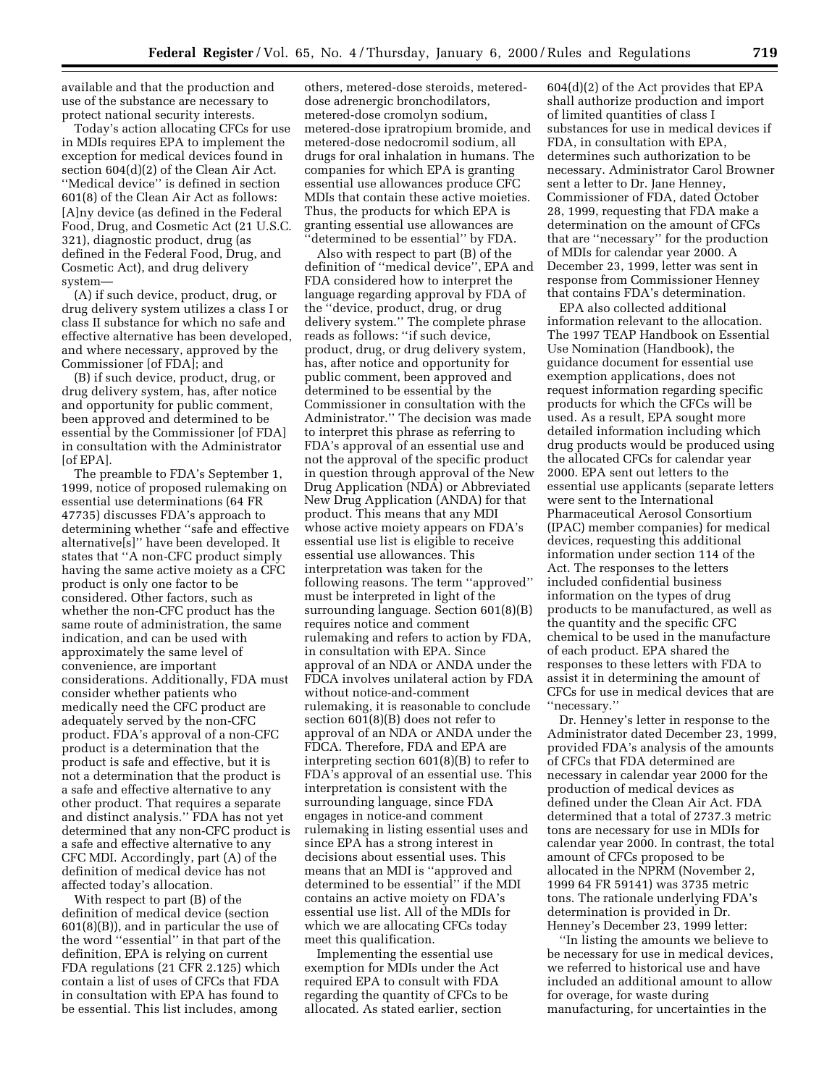available and that the production and use of the substance are necessary to protect national security interests.

Today's action allocating CFCs for use in MDIs requires EPA to implement the exception for medical devices found in section 604(d)(2) of the Clean Air Act. ''Medical device'' is defined in section 601(8) of the Clean Air Act as follows: [A]ny device (as defined in the Federal Food, Drug, and Cosmetic Act (21 U.S.C. 321), diagnostic product, drug (as defined in the Federal Food, Drug, and Cosmetic Act), and drug delivery system—

(A) if such device, product, drug, or drug delivery system utilizes a class I or class II substance for which no safe and effective alternative has been developed, and where necessary, approved by the Commissioner [of FDA]; and

(B) if such device, product, drug, or drug delivery system, has, after notice and opportunity for public comment, been approved and determined to be essential by the Commissioner [of FDA] in consultation with the Administrator [of EPA].

The preamble to FDA's September 1, 1999, notice of proposed rulemaking on essential use determinations (64 FR 47735) discusses FDA's approach to determining whether ''safe and effective alternative[s]'' have been developed. It states that ''A non-CFC product simply having the same active moiety as a CFC product is only one factor to be considered. Other factors, such as whether the non-CFC product has the same route of administration, the same indication, and can be used with approximately the same level of convenience, are important considerations. Additionally, FDA must consider whether patients who medically need the CFC product are adequately served by the non-CFC product. FDA's approval of a non-CFC product is a determination that the product is safe and effective, but it is not a determination that the product is a safe and effective alternative to any other product. That requires a separate and distinct analysis.'' FDA has not yet determined that any non-CFC product is a safe and effective alternative to any CFC MDI. Accordingly, part (A) of the definition of medical device has not affected today's allocation.

With respect to part (B) of the definition of medical device (section 601(8)(B)), and in particular the use of the word ''essential'' in that part of the definition, EPA is relying on current FDA regulations (21 CFR 2.125) which contain a list of uses of CFCs that FDA in consultation with EPA has found to be essential. This list includes, among

others, metered-dose steroids, metereddose adrenergic bronchodilators, metered-dose cromolyn sodium, metered-dose ipratropium bromide, and metered-dose nedocromil sodium, all drugs for oral inhalation in humans. The companies for which EPA is granting essential use allowances produce CFC MDIs that contain these active moieties. Thus, the products for which EPA is granting essential use allowances are 'determined to be essential'' by FDA.

Also with respect to part (B) of the definition of ''medical device'', EPA and FDA considered how to interpret the language regarding approval by FDA of the ''device, product, drug, or drug delivery system.'' The complete phrase reads as follows: ''if such device, product, drug, or drug delivery system, has, after notice and opportunity for public comment, been approved and determined to be essential by the Commissioner in consultation with the Administrator.'' The decision was made to interpret this phrase as referring to FDA's approval of an essential use and not the approval of the specific product in question through approval of the New Drug Application (NDA) or Abbreviated New Drug Application (ANDA) for that product. This means that any MDI whose active moiety appears on FDA's essential use list is eligible to receive essential use allowances. This interpretation was taken for the following reasons. The term ''approved'' must be interpreted in light of the surrounding language. Section 601(8)(B) requires notice and comment rulemaking and refers to action by FDA, in consultation with EPA. Since approval of an NDA or ANDA under the FDCA involves unilateral action by FDA without notice-and-comment rulemaking, it is reasonable to conclude section 601(8)(B) does not refer to approval of an NDA or ANDA under the FDCA. Therefore, FDA and EPA are interpreting section 601(8)(B) to refer to FDA's approval of an essential use. This interpretation is consistent with the surrounding language, since FDA engages in notice-and comment rulemaking in listing essential uses and since EPA has a strong interest in decisions about essential uses. This means that an MDI is ''approved and determined to be essential'' if the MDI contains an active moiety on FDA's essential use list. All of the MDIs for which we are allocating CFCs today meet this qualification.

Implementing the essential use exemption for MDIs under the Act required EPA to consult with FDA regarding the quantity of CFCs to be allocated. As stated earlier, section

604(d)(2) of the Act provides that EPA shall authorize production and import of limited quantities of class I substances for use in medical devices if FDA, in consultation with EPA, determines such authorization to be necessary. Administrator Carol Browner sent a letter to Dr. Jane Henney, Commissioner of FDA, dated October 28, 1999, requesting that FDA make a determination on the amount of CFCs that are ''necessary'' for the production of MDIs for calendar year 2000. A December 23, 1999, letter was sent in response from Commissioner Henney that contains FDA's determination.

EPA also collected additional information relevant to the allocation. The 1997 TEAP Handbook on Essential Use Nomination (Handbook), the guidance document for essential use exemption applications, does not request information regarding specific products for which the CFCs will be used. As a result, EPA sought more detailed information including which drug products would be produced using the allocated CFCs for calendar year 2000. EPA sent out letters to the essential use applicants (separate letters were sent to the International Pharmaceutical Aerosol Consortium (IPAC) member companies) for medical devices, requesting this additional information under section 114 of the Act. The responses to the letters included confidential business information on the types of drug products to be manufactured, as well as the quantity and the specific CFC chemical to be used in the manufacture of each product. EPA shared the responses to these letters with FDA to assist it in determining the amount of CFCs for use in medical devices that are ''necessary.''

Dr. Henney's letter in response to the Administrator dated December 23, 1999, provided FDA's analysis of the amounts of CFCs that FDA determined are necessary in calendar year 2000 for the production of medical devices as defined under the Clean Air Act. FDA determined that a total of 2737.3 metric tons are necessary for use in MDIs for calendar year 2000. In contrast, the total amount of CFCs proposed to be allocated in the NPRM (November 2, 1999 64 FR 59141) was 3735 metric tons. The rationale underlying FDA's determination is provided in Dr. Henney's December 23, 1999 letter:

''In listing the amounts we believe to be necessary for use in medical devices, we referred to historical use and have included an additional amount to allow for overage, for waste during manufacturing, for uncertainties in the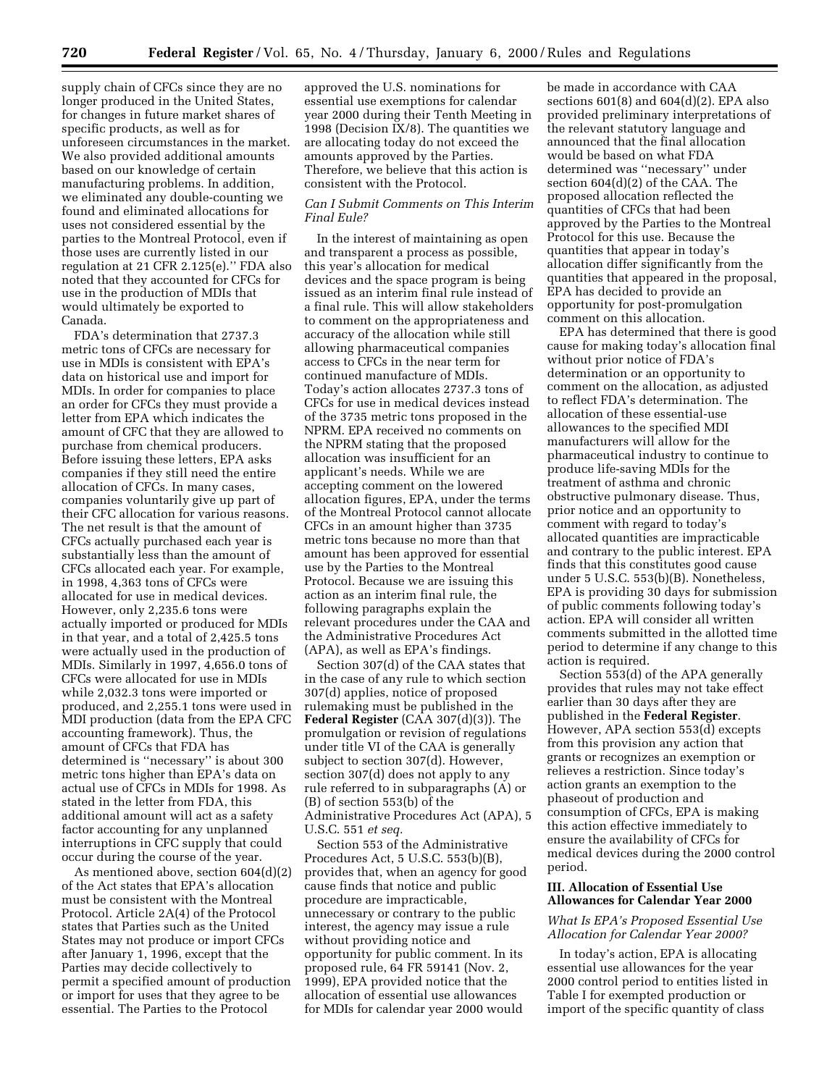supply chain of CFCs since they are no longer produced in the United States, for changes in future market shares of specific products, as well as for unforeseen circumstances in the market. We also provided additional amounts based on our knowledge of certain manufacturing problems. In addition, we eliminated any double-counting we found and eliminated allocations for uses not considered essential by the parties to the Montreal Protocol, even if those uses are currently listed in our regulation at 21 CFR 2.125(e).'' FDA also noted that they accounted for CFCs for use in the production of MDIs that would ultimately be exported to Canada.

FDA's determination that 2737.3 metric tons of CFCs are necessary for use in MDIs is consistent with EPA's data on historical use and import for MDIs. In order for companies to place an order for CFCs they must provide a letter from EPA which indicates the amount of CFC that they are allowed to purchase from chemical producers. Before issuing these letters, EPA asks companies if they still need the entire allocation of CFCs. In many cases, companies voluntarily give up part of their CFC allocation for various reasons. The net result is that the amount of CFCs actually purchased each year is substantially less than the amount of CFCs allocated each year. For example, in 1998, 4,363 tons of CFCs were allocated for use in medical devices. However, only 2,235.6 tons were actually imported or produced for MDIs in that year, and a total of 2,425.5 tons were actually used in the production of MDIs. Similarly in 1997, 4,656.0 tons of CFCs were allocated for use in MDIs while 2,032.3 tons were imported or produced, and 2,255.1 tons were used in MDI production (data from the EPA CFC accounting framework). Thus, the amount of CFCs that FDA has determined is ''necessary'' is about 300 metric tons higher than EPA's data on actual use of CFCs in MDIs for 1998. As stated in the letter from FDA, this additional amount will act as a safety factor accounting for any unplanned interruptions in CFC supply that could occur during the course of the year.

As mentioned above, section 604(d)(2) of the Act states that EPA's allocation must be consistent with the Montreal Protocol. Article 2A(4) of the Protocol states that Parties such as the United States may not produce or import CFCs after January 1, 1996, except that the Parties may decide collectively to permit a specified amount of production or import for uses that they agree to be essential. The Parties to the Protocol

approved the U.S. nominations for essential use exemptions for calendar year 2000 during their Tenth Meeting in 1998 (Decision IX/8). The quantities we are allocating today do not exceed the amounts approved by the Parties. Therefore, we believe that this action is consistent with the Protocol.

## *Can I Submit Comments on This Interim Final Eule?*

In the interest of maintaining as open and transparent a process as possible, this year's allocation for medical devices and the space program is being issued as an interim final rule instead of a final rule. This will allow stakeholders to comment on the appropriateness and accuracy of the allocation while still allowing pharmaceutical companies access to CFCs in the near term for continued manufacture of MDIs. Today's action allocates 2737.3 tons of CFCs for use in medical devices instead of the 3735 metric tons proposed in the NPRM. EPA received no comments on the NPRM stating that the proposed allocation was insufficient for an applicant's needs. While we are accepting comment on the lowered allocation figures, EPA, under the terms of the Montreal Protocol cannot allocate CFCs in an amount higher than 3735 metric tons because no more than that amount has been approved for essential use by the Parties to the Montreal Protocol. Because we are issuing this action as an interim final rule, the following paragraphs explain the relevant procedures under the CAA and the Administrative Procedures Act (APA), as well as EPA's findings.

Section 307(d) of the CAA states that in the case of any rule to which section 307(d) applies, notice of proposed rulemaking must be published in the **Federal Register** (CAA 307(d)(3)). The promulgation or revision of regulations under title VI of the CAA is generally subject to section 307(d). However, section 307(d) does not apply to any rule referred to in subparagraphs (A) or (B) of section 553(b) of the Administrative Procedures Act (APA), 5 U.S.C. 551 *et seq.*

Section 553 of the Administrative Procedures Act, 5 U.S.C. 553(b)(B), provides that, when an agency for good cause finds that notice and public procedure are impracticable, unnecessary or contrary to the public interest, the agency may issue a rule without providing notice and opportunity for public comment. In its proposed rule, 64 FR 59141 (Nov. 2, 1999), EPA provided notice that the allocation of essential use allowances for MDIs for calendar year 2000 would

be made in accordance with CAA sections  $601(8)$  and  $604(d)(2)$ . EPA also provided preliminary interpretations of the relevant statutory language and announced that the final allocation would be based on what FDA determined was ''necessary'' under section 604(d)(2) of the CAA. The proposed allocation reflected the quantities of CFCs that had been approved by the Parties to the Montreal Protocol for this use. Because the quantities that appear in today's allocation differ significantly from the quantities that appeared in the proposal, EPA has decided to provide an opportunity for post-promulgation comment on this allocation.

EPA has determined that there is good cause for making today's allocation final without prior notice of FDA's determination or an opportunity to comment on the allocation, as adjusted to reflect FDA's determination. The allocation of these essential-use allowances to the specified MDI manufacturers will allow for the pharmaceutical industry to continue to produce life-saving MDIs for the treatment of asthma and chronic obstructive pulmonary disease. Thus, prior notice and an opportunity to comment with regard to today's allocated quantities are impracticable and contrary to the public interest. EPA finds that this constitutes good cause under 5 U.S.C. 553(b)(B). Nonetheless, EPA is providing 30 days for submission of public comments following today's action. EPA will consider all written comments submitted in the allotted time period to determine if any change to this action is required.

Section 553(d) of the APA generally provides that rules may not take effect earlier than 30 days after they are published in the **Federal Register**. However, APA section 553(d) excepts from this provision any action that grants or recognizes an exemption or relieves a restriction. Since today's action grants an exemption to the phaseout of production and consumption of CFCs, EPA is making this action effective immediately to ensure the availability of CFCs for medical devices during the 2000 control period.

#### **III. Allocation of Essential Use Allowances for Calendar Year 2000**

## *What Is EPA's Proposed Essential Use Allocation for Calendar Year 2000?*

In today's action, EPA is allocating essential use allowances for the year 2000 control period to entities listed in Table I for exempted production or import of the specific quantity of class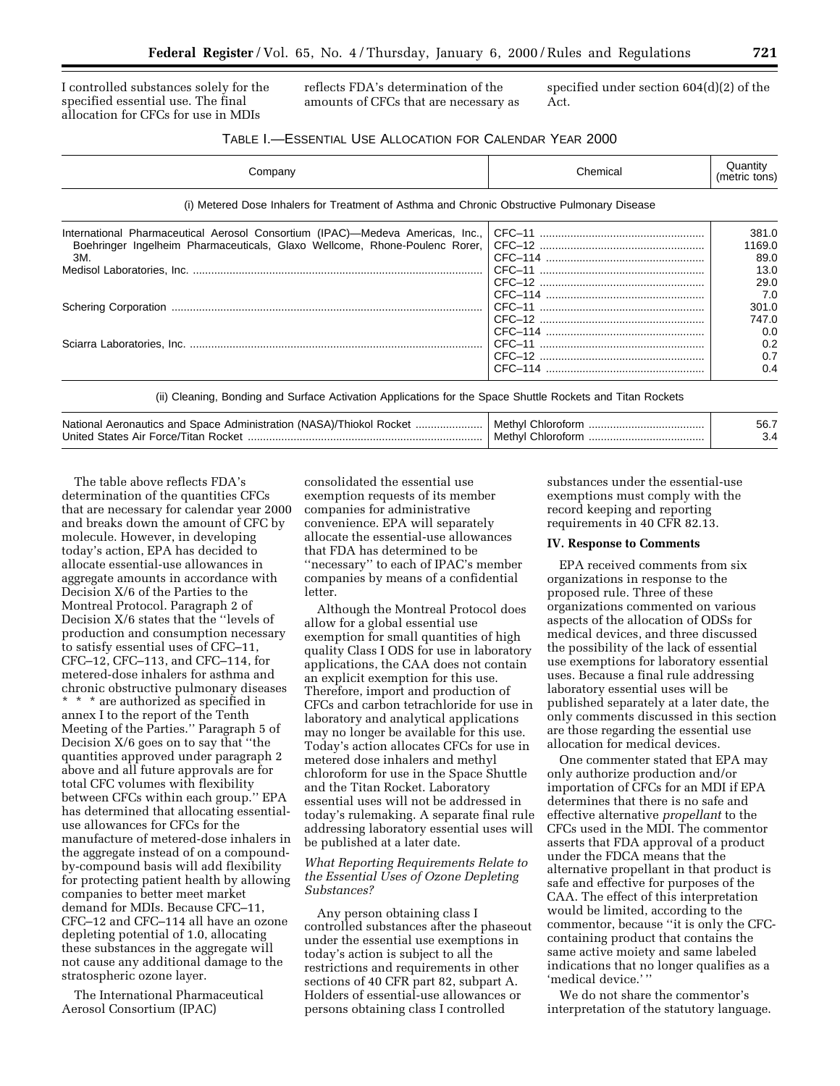I controlled substances solely for the specified essential use. The final allocation for CFCs for use in MDIs

reflects FDA's determination of the amounts of CFCs that are necessary as specified under section 604(d)(2) of the Act.

## TABLE I.—ESSENTIAL USE ALLOCATION FOR CALENDAR YEAR 2000

|                                                                                             |  | (metric tons) |  |  |
|---------------------------------------------------------------------------------------------|--|---------------|--|--|
| (i) Metered Dose Inhalers for Treatment of Asthma and Chronic Obstructive Pulmonary Disease |  |               |  |  |
| International Pharmaceutical Aerosol Consortium (IPAC)—Medeva Americas, Inc.,               |  | 381.0         |  |  |
| Boehringer Ingelheim Pharmaceuticals, Glaxo Wellcome, Rhone-Poulenc Rorer,                  |  | 1169.0        |  |  |
| 3M.                                                                                         |  | 89.0          |  |  |
|                                                                                             |  | 13.0          |  |  |
|                                                                                             |  | 29.0          |  |  |
|                                                                                             |  | 7.0           |  |  |
|                                                                                             |  | 301.0         |  |  |
|                                                                                             |  | 747.0         |  |  |
|                                                                                             |  | 0.0           |  |  |
|                                                                                             |  | 0.2           |  |  |
|                                                                                             |  | 0.7           |  |  |
|                                                                                             |  | 0.4           |  |  |

| National<br>of Aeronautics and Space Administration (NASA)/Thiokol is<br>Rocke:<br>United States Air Force/Titan "<br>Rocket | Methyl<br>nır |  |
|------------------------------------------------------------------------------------------------------------------------------|---------------|--|
|------------------------------------------------------------------------------------------------------------------------------|---------------|--|

The table above reflects FDA's determination of the quantities CFCs that are necessary for calendar year 2000 and breaks down the amount of CFC by molecule. However, in developing today's action, EPA has decided to allocate essential-use allowances in aggregate amounts in accordance with Decision X/6 of the Parties to the Montreal Protocol. Paragraph 2 of Decision X/6 states that the ''levels of production and consumption necessary to satisfy essential uses of CFC–11, CFC–12, CFC–113, and CFC–114, for metered-dose inhalers for asthma and chronic obstructive pulmonary diseases \* \* \* are authorized as specified in annex I to the report of the Tenth Meeting of the Parties.'' Paragraph 5 of Decision X/6 goes on to say that ''the quantities approved under paragraph 2 above and all future approvals are for total CFC volumes with flexibility between CFCs within each group.'' EPA has determined that allocating essentialuse allowances for CFCs for the manufacture of metered-dose inhalers in the aggregate instead of on a compoundby-compound basis will add flexibility for protecting patient health by allowing companies to better meet market demand for MDIs. Because CFC–11, CFC–12 and CFC–114 all have an ozone depleting potential of 1.0, allocating these substances in the aggregate will not cause any additional damage to the stratospheric ozone layer.

The International Pharmaceutical Aerosol Consortium (IPAC)

consolidated the essential use exemption requests of its member companies for administrative convenience. EPA will separately allocate the essential-use allowances that FDA has determined to be ''necessary'' to each of IPAC's member companies by means of a confidential letter.

Although the Montreal Protocol does allow for a global essential use exemption for small quantities of high quality Class I ODS for use in laboratory applications, the CAA does not contain an explicit exemption for this use. Therefore, import and production of CFCs and carbon tetrachloride for use in laboratory and analytical applications may no longer be available for this use. Today's action allocates CFCs for use in metered dose inhalers and methyl chloroform for use in the Space Shuttle and the Titan Rocket. Laboratory essential uses will not be addressed in today's rulemaking. A separate final rule addressing laboratory essential uses will be published at a later date.

## *What Reporting Requirements Relate to the Essential Uses of Ozone Depleting Substances?*

Any person obtaining class I controlled substances after the phaseout under the essential use exemptions in today's action is subject to all the restrictions and requirements in other sections of 40 CFR part 82, subpart A. Holders of essential-use allowances or persons obtaining class I controlled

substances under the essential-use exemptions must comply with the record keeping and reporting requirements in 40 CFR 82.13.

#### **IV. Response to Comments**

EPA received comments from six organizations in response to the proposed rule. Three of these organizations commented on various aspects of the allocation of ODSs for medical devices, and three discussed the possibility of the lack of essential use exemptions for laboratory essential uses. Because a final rule addressing laboratory essential uses will be published separately at a later date, the only comments discussed in this section are those regarding the essential use allocation for medical devices.

One commenter stated that EPA may only authorize production and/or importation of CFCs for an MDI if EPA determines that there is no safe and effective alternative *propellant* to the CFCs used in the MDI. The commentor asserts that FDA approval of a product under the FDCA means that the alternative propellant in that product is safe and effective for purposes of the CAA. The effect of this interpretation would be limited, according to the commentor, because ''it is only the CFCcontaining product that contains the same active moiety and same labeled indications that no longer qualifies as a 'medical device.''

We do not share the commentor's interpretation of the statutory language.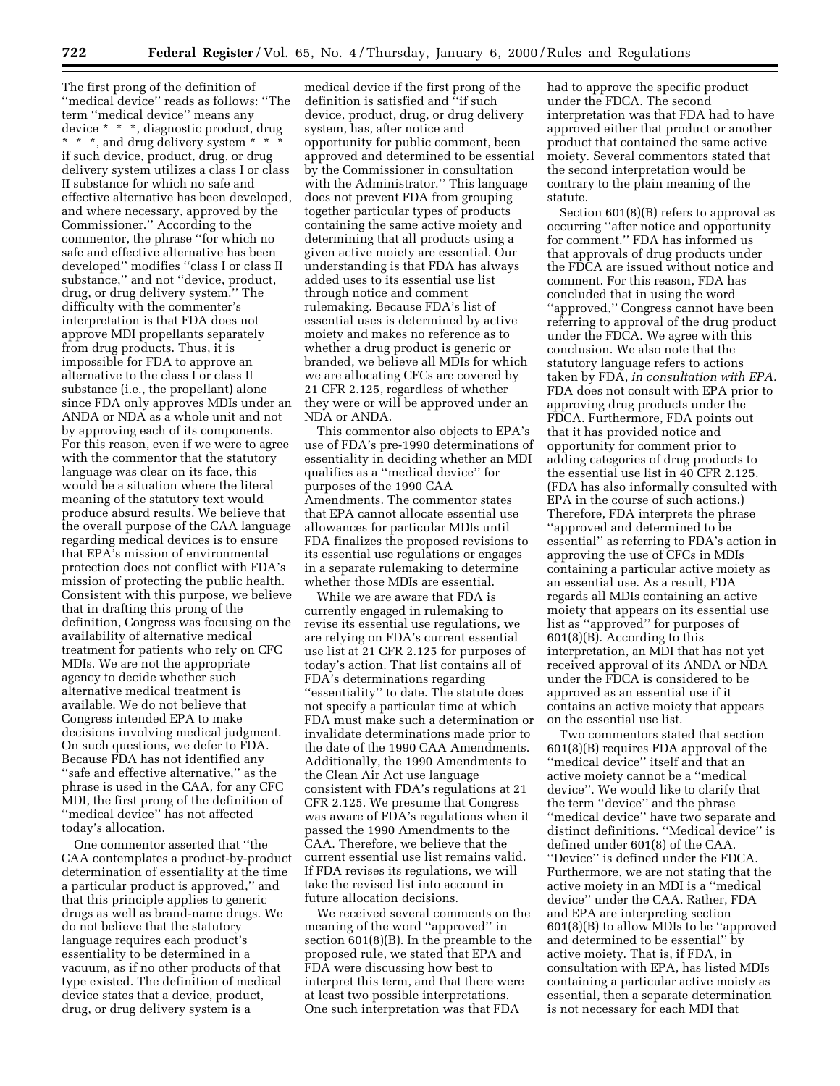The first prong of the definition of ''medical device'' reads as follows: ''The term ''medical device'' means any device \* \* \*, diagnostic product, drug \* \* \*, and drug delivery system \* \* \* if such device, product, drug, or drug delivery system utilizes a class I or class II substance for which no safe and effective alternative has been developed, and where necessary, approved by the Commissioner.'' According to the commentor, the phrase ''for which no safe and effective alternative has been developed'' modifies ''class I or class II substance,'' and not ''device, product, drug, or drug delivery system.'' The difficulty with the commenter's interpretation is that FDA does not approve MDI propellants separately from drug products. Thus, it is impossible for FDA to approve an alternative to the class I or class II substance (i.e., the propellant) alone since FDA only approves MDIs under an ANDA or NDA as a whole unit and not by approving each of its components. For this reason, even if we were to agree with the commentor that the statutory language was clear on its face, this would be a situation where the literal meaning of the statutory text would produce absurd results. We believe that the overall purpose of the CAA language regarding medical devices is to ensure that EPA's mission of environmental protection does not conflict with FDA's mission of protecting the public health. Consistent with this purpose, we believe that in drafting this prong of the definition, Congress was focusing on the availability of alternative medical treatment for patients who rely on CFC MDIs. We are not the appropriate agency to decide whether such alternative medical treatment is available. We do not believe that Congress intended EPA to make decisions involving medical judgment. On such questions, we defer to FDA. Because FDA has not identified any "safe and effective alternative," as the phrase is used in the CAA, for any CFC MDI, the first prong of the definition of ''medical device'' has not affected today's allocation.

One commentor asserted that ''the CAA contemplates a product-by-product determination of essentiality at the time a particular product is approved,'' and that this principle applies to generic drugs as well as brand-name drugs. We do not believe that the statutory language requires each product's essentiality to be determined in a vacuum, as if no other products of that type existed. The definition of medical device states that a device, product, drug, or drug delivery system is a

medical device if the first prong of the definition is satisfied and ''if such device, product, drug, or drug delivery system, has, after notice and opportunity for public comment, been approved and determined to be essential by the Commissioner in consultation with the Administrator.'' This language does not prevent FDA from grouping together particular types of products containing the same active moiety and determining that all products using a given active moiety are essential. Our understanding is that FDA has always added uses to its essential use list through notice and comment rulemaking. Because FDA's list of essential uses is determined by active moiety and makes no reference as to whether a drug product is generic or branded, we believe all MDIs for which we are allocating CFCs are covered by 21 CFR 2.125, regardless of whether they were or will be approved under an NDA or ANDA.

This commentor also objects to EPA's use of FDA's pre-1990 determinations of essentiality in deciding whether an MDI qualifies as a ''medical device'' for purposes of the 1990 CAA Amendments. The commentor states that EPA cannot allocate essential use allowances for particular MDIs until FDA finalizes the proposed revisions to its essential use regulations or engages in a separate rulemaking to determine whether those MDIs are essential.

While we are aware that FDA is currently engaged in rulemaking to revise its essential use regulations, we are relying on FDA's current essential use list at 21 CFR 2.125 for purposes of today's action. That list contains all of FDA's determinations regarding "essentiality" to date. The statute does not specify a particular time at which FDA must make such a determination or invalidate determinations made prior to the date of the 1990 CAA Amendments. Additionally, the 1990 Amendments to the Clean Air Act use language consistent with FDA's regulations at 21 CFR 2.125. We presume that Congress was aware of FDA's regulations when it passed the 1990 Amendments to the CAA. Therefore, we believe that the current essential use list remains valid. If FDA revises its regulations, we will take the revised list into account in future allocation decisions.

We received several comments on the meaning of the word ''approved'' in section 601(8)(B). In the preamble to the proposed rule, we stated that EPA and FDA were discussing how best to interpret this term, and that there were at least two possible interpretations. One such interpretation was that FDA

had to approve the specific product under the FDCA. The second interpretation was that FDA had to have approved either that product or another product that contained the same active moiety. Several commentors stated that the second interpretation would be contrary to the plain meaning of the statute.

Section 601(8)(B) refers to approval as occurring ''after notice and opportunity for comment.'' FDA has informed us that approvals of drug products under the FDCA are issued without notice and comment. For this reason, FDA has concluded that in using the word ''approved,'' Congress cannot have been referring to approval of the drug product under the FDCA. We agree with this conclusion. We also note that the statutory language refers to actions taken by FDA, *in consultation with EPA.* FDA does not consult with EPA prior to approving drug products under the FDCA. Furthermore, FDA points out that it has provided notice and opportunity for comment prior to adding categories of drug products to the essential use list in 40 CFR 2.125. (FDA has also informally consulted with EPA in the course of such actions.) Therefore, FDA interprets the phrase ''approved and determined to be essential'' as referring to FDA's action in approving the use of CFCs in MDIs containing a particular active moiety as an essential use. As a result, FDA regards all MDIs containing an active moiety that appears on its essential use list as ''approved'' for purposes of 601(8)(B). According to this interpretation, an MDI that has not yet received approval of its ANDA or NDA under the FDCA is considered to be approved as an essential use if it contains an active moiety that appears on the essential use list.

Two commentors stated that section 601(8)(B) requires FDA approval of the ''medical device'' itself and that an active moiety cannot be a ''medical device''. We would like to clarify that the term ''device'' and the phrase ''medical device'' have two separate and distinct definitions. ''Medical device'' is defined under 601(8) of the CAA. ''Device'' is defined under the FDCA. Furthermore, we are not stating that the active moiety in an MDI is a ''medical device'' under the CAA. Rather, FDA and EPA are interpreting section 601(8)(B) to allow MDIs to be ''approved and determined to be essential'' by active moiety. That is, if FDA, in consultation with EPA, has listed MDIs containing a particular active moiety as essential, then a separate determination is not necessary for each MDI that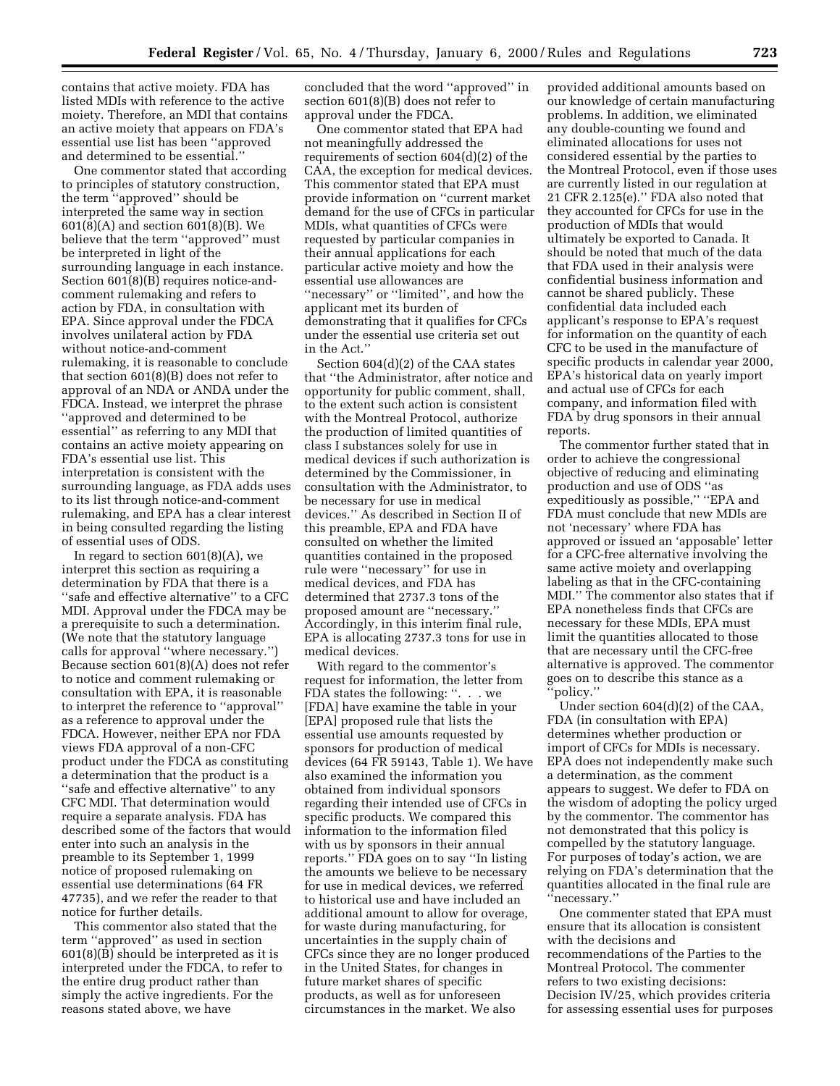contains that active moiety. FDA has listed MDIs with reference to the active moiety. Therefore, an MDI that contains an active moiety that appears on FDA's essential use list has been ''approved and determined to be essential.''

One commentor stated that according to principles of statutory construction, the term ''approved'' should be interpreted the same way in section 601(8)(A) and section 601(8)(B). We believe that the term ''approved'' must be interpreted in light of the surrounding language in each instance. Section 601(8)(B) requires notice-andcomment rulemaking and refers to action by FDA, in consultation with EPA. Since approval under the FDCA involves unilateral action by FDA without notice-and-comment rulemaking, it is reasonable to conclude that section 601(8)(B) does not refer to approval of an NDA or ANDA under the FDCA. Instead, we interpret the phrase ''approved and determined to be essential'' as referring to any MDI that contains an active moiety appearing on FDA's essential use list. This interpretation is consistent with the surrounding language, as FDA adds uses to its list through notice-and-comment rulemaking, and EPA has a clear interest in being consulted regarding the listing of essential uses of ODS.

In regard to section  $601(8)(A)$ , we interpret this section as requiring a determination by FDA that there is a "safe and effective alternative" to a CFC MDI. Approval under the FDCA may be a prerequisite to such a determination. (We note that the statutory language calls for approval ''where necessary.'') Because section 601(8)(A) does not refer to notice and comment rulemaking or consultation with EPA, it is reasonable to interpret the reference to ''approval'' as a reference to approval under the FDCA. However, neither EPA nor FDA views FDA approval of a non-CFC product under the FDCA as constituting a determination that the product is a ''safe and effective alternative'' to any CFC MDI. That determination would require a separate analysis. FDA has described some of the factors that would enter into such an analysis in the preamble to its September 1, 1999 notice of proposed rulemaking on essential use determinations (64 FR 47735), and we refer the reader to that notice for further details.

This commentor also stated that the term ''approved'' as used in section 601(8)(B) should be interpreted as it is interpreted under the FDCA, to refer to the entire drug product rather than simply the active ingredients. For the reasons stated above, we have

concluded that the word ''approved'' in section 601(8)(B) does not refer to approval under the FDCA.

One commentor stated that EPA had not meaningfully addressed the requirements of section 604(d)(2) of the CAA, the exception for medical devices. This commentor stated that EPA must provide information on ''current market demand for the use of CFCs in particular MDIs, what quantities of CFCs were requested by particular companies in their annual applications for each particular active moiety and how the essential use allowances are ''necessary'' or ''limited'', and how the applicant met its burden of demonstrating that it qualifies for CFCs under the essential use criteria set out in the Act.''

Section 604(d)(2) of the CAA states that ''the Administrator, after notice and opportunity for public comment, shall, to the extent such action is consistent with the Montreal Protocol, authorize the production of limited quantities of class I substances solely for use in medical devices if such authorization is determined by the Commissioner, in consultation with the Administrator, to be necessary for use in medical devices.'' As described in Section II of this preamble, EPA and FDA have consulted on whether the limited quantities contained in the proposed rule were ''necessary'' for use in medical devices, and FDA has determined that 2737.3 tons of the proposed amount are ''necessary.'' Accordingly, in this interim final rule, EPA is allocating 2737.3 tons for use in medical devices.

With regard to the commentor's request for information, the letter from FDA states the following: ". . . we [FDA] have examine the table in your [EPA] proposed rule that lists the essential use amounts requested by sponsors for production of medical devices (64 FR 59143, Table 1). We have also examined the information you obtained from individual sponsors regarding their intended use of CFCs in specific products. We compared this information to the information filed with us by sponsors in their annual reports.'' FDA goes on to say ''In listing the amounts we believe to be necessary for use in medical devices, we referred to historical use and have included an additional amount to allow for overage, for waste during manufacturing, for uncertainties in the supply chain of CFCs since they are no longer produced in the United States, for changes in future market shares of specific products, as well as for unforeseen circumstances in the market. We also

provided additional amounts based on our knowledge of certain manufacturing problems. In addition, we eliminated any double-counting we found and eliminated allocations for uses not considered essential by the parties to the Montreal Protocol, even if those uses are currently listed in our regulation at 21 CFR 2.125(e).'' FDA also noted that they accounted for CFCs for use in the production of MDIs that would ultimately be exported to Canada. It should be noted that much of the data that FDA used in their analysis were confidential business information and cannot be shared publicly. These confidential data included each applicant's response to EPA's request for information on the quantity of each CFC to be used in the manufacture of specific products in calendar year 2000, EPA's historical data on yearly import and actual use of CFCs for each company, and information filed with FDA by drug sponsors in their annual reports.

The commentor further stated that in order to achieve the congressional objective of reducing and eliminating production and use of ODS ''as expeditiously as possible,'' ''EPA and FDA must conclude that new MDIs are not 'necessary' where FDA has approved or issued an 'apposable' letter for a CFC-free alternative involving the same active moiety and overlapping labeling as that in the CFC-containing MDI.'' The commentor also states that if EPA nonetheless finds that CFCs are necessary for these MDIs, EPA must limit the quantities allocated to those that are necessary until the CFC-free alternative is approved. The commentor goes on to describe this stance as a ''policy.''

Under section 604(d)(2) of the CAA, FDA (in consultation with EPA) determines whether production or import of CFCs for MDIs is necessary. EPA does not independently make such a determination, as the comment appears to suggest. We defer to FDA on the wisdom of adopting the policy urged by the commentor. The commentor has not demonstrated that this policy is compelled by the statutory language. For purposes of today's action, we are relying on FDA's determination that the quantities allocated in the final rule are ''necessary.''

One commenter stated that EPA must ensure that its allocation is consistent with the decisions and recommendations of the Parties to the Montreal Protocol. The commenter refers to two existing decisions: Decision IV/25, which provides criteria for assessing essential uses for purposes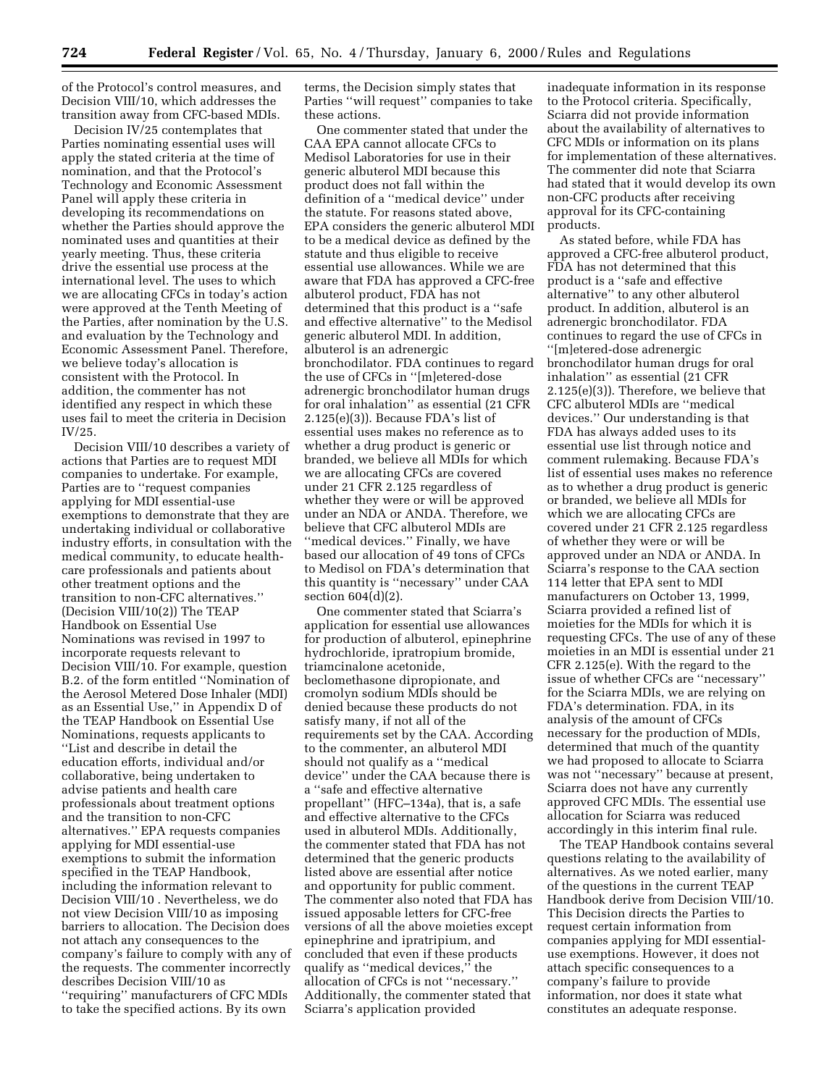of the Protocol's control measures, and Decision VIII/10, which addresses the transition away from CFC-based MDIs.

Decision IV/25 contemplates that Parties nominating essential uses will apply the stated criteria at the time of nomination, and that the Protocol's Technology and Economic Assessment Panel will apply these criteria in developing its recommendations on whether the Parties should approve the nominated uses and quantities at their yearly meeting. Thus, these criteria drive the essential use process at the international level. The uses to which we are allocating CFCs in today's action were approved at the Tenth Meeting of the Parties, after nomination by the U.S. and evaluation by the Technology and Economic Assessment Panel. Therefore, we believe today's allocation is consistent with the Protocol. In addition, the commenter has not identified any respect in which these uses fail to meet the criteria in Decision IV/25.

Decision VIII/10 describes a variety of actions that Parties are to request MDI companies to undertake. For example, Parties are to ''request companies applying for MDI essential-use exemptions to demonstrate that they are undertaking individual or collaborative industry efforts, in consultation with the medical community, to educate healthcare professionals and patients about other treatment options and the transition to non-CFC alternatives.'' (Decision VIII/10(2)) The TEAP Handbook on Essential Use Nominations was revised in 1997 to incorporate requests relevant to Decision VIII/10. For example, question B.2. of the form entitled ''Nomination of the Aerosol Metered Dose Inhaler (MDI) as an Essential Use,'' in Appendix D of the TEAP Handbook on Essential Use Nominations, requests applicants to ''List and describe in detail the education efforts, individual and/or collaborative, being undertaken to advise patients and health care professionals about treatment options and the transition to non-CFC alternatives.'' EPA requests companies applying for MDI essential-use exemptions to submit the information specified in the TEAP Handbook, including the information relevant to Decision VIII/10 . Nevertheless, we do not view Decision VIII/10 as imposing barriers to allocation. The Decision does not attach any consequences to the company's failure to comply with any of the requests. The commenter incorrectly describes Decision VIII/10 as ''requiring'' manufacturers of CFC MDIs to take the specified actions. By its own

terms, the Decision simply states that Parties ''will request'' companies to take these actions.

One commenter stated that under the CAA EPA cannot allocate CFCs to Medisol Laboratories for use in their generic albuterol MDI because this product does not fall within the definition of a ''medical device'' under the statute. For reasons stated above, EPA considers the generic albuterol MDI to be a medical device as defined by the statute and thus eligible to receive essential use allowances. While we are aware that FDA has approved a CFC-free albuterol product, FDA has not determined that this product is a ''safe and effective alternative'' to the Medisol generic albuterol MDI. In addition, albuterol is an adrenergic bronchodilator. FDA continues to regard the use of CFCs in ''[m]etered-dose adrenergic bronchodilator human drugs for oral inhalation'' as essential (21 CFR 2.125(e)(3)). Because FDA's list of essential uses makes no reference as to whether a drug product is generic or branded, we believe all MDIs for which we are allocating CFCs are covered under 21 CFR 2.125 regardless of whether they were or will be approved under an NDA or ANDA. Therefore, we believe that CFC albuterol MDIs are "medical devices." Finally, we have based our allocation of 49 tons of CFCs to Medisol on FDA's determination that this quantity is ''necessary'' under CAA section  $604(d)(2)$ .

One commenter stated that Sciarra's application for essential use allowances for production of albuterol, epinephrine hydrochloride, ipratropium bromide, triamcinalone acetonide, beclomethasone dipropionate, and cromolyn sodium MDIs should be denied because these products do not satisfy many, if not all of the requirements set by the CAA. According to the commenter, an albuterol MDI should not qualify as a ''medical device'' under the CAA because there is a ''safe and effective alternative propellant'' (HFC–134a), that is, a safe and effective alternative to the CFCs used in albuterol MDIs. Additionally, the commenter stated that FDA has not determined that the generic products listed above are essential after notice and opportunity for public comment. The commenter also noted that FDA has issued apposable letters for CFC-free versions of all the above moieties except epinephrine and ipratripium, and concluded that even if these products qualify as ''medical devices,'' the allocation of CFCs is not ''necessary.'' Additionally, the commenter stated that Sciarra's application provided

inadequate information in its response to the Protocol criteria. Specifically, Sciarra did not provide information about the availability of alternatives to CFC MDIs or information on its plans for implementation of these alternatives. The commenter did note that Sciarra had stated that it would develop its own non-CFC products after receiving approval for its CFC-containing products.

As stated before, while FDA has approved a CFC-free albuterol product, FDA has not determined that this product is a ''safe and effective alternative'' to any other albuterol product. In addition, albuterol is an adrenergic bronchodilator. FDA continues to regard the use of CFCs in ''[m]etered-dose adrenergic bronchodilator human drugs for oral inhalation'' as essential (21 CFR 2.125(e)(3)). Therefore, we believe that CFC albuterol MDIs are ''medical devices.'' Our understanding is that FDA has always added uses to its essential use list through notice and comment rulemaking. Because FDA's list of essential uses makes no reference as to whether a drug product is generic or branded, we believe all MDIs for which we are allocating CFCs are covered under 21 CFR 2.125 regardless of whether they were or will be approved under an NDA or ANDA. In Sciarra's response to the CAA section 114 letter that EPA sent to MDI manufacturers on October 13, 1999, Sciarra provided a refined list of moieties for the MDIs for which it is requesting CFCs. The use of any of these moieties in an MDI is essential under 21 CFR 2.125(e). With the regard to the issue of whether CFCs are ''necessary'' for the Sciarra MDIs, we are relying on FDA's determination. FDA, in its analysis of the amount of CFCs necessary for the production of MDIs, determined that much of the quantity we had proposed to allocate to Sciarra was not ''necessary'' because at present, Sciarra does not have any currently approved CFC MDIs. The essential use allocation for Sciarra was reduced accordingly in this interim final rule.

The TEAP Handbook contains several questions relating to the availability of alternatives. As we noted earlier, many of the questions in the current TEAP Handbook derive from Decision VIII/10. This Decision directs the Parties to request certain information from companies applying for MDI essentialuse exemptions. However, it does not attach specific consequences to a company's failure to provide information, nor does it state what constitutes an adequate response.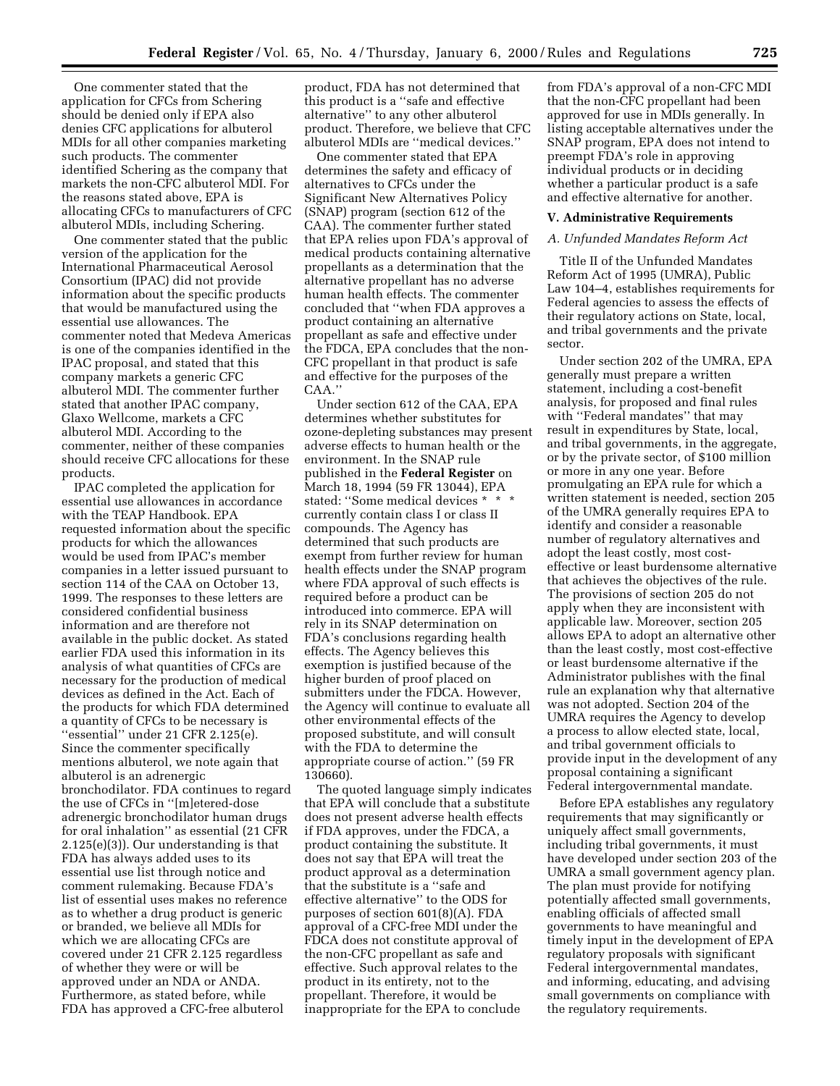One commenter stated that the application for CFCs from Schering should be denied only if EPA also denies CFC applications for albuterol MDIs for all other companies marketing such products. The commenter identified Schering as the company that markets the non-CFC albuterol MDI. For the reasons stated above, EPA is allocating CFCs to manufacturers of CFC albuterol MDIs, including Schering.

One commenter stated that the public version of the application for the International Pharmaceutical Aerosol Consortium (IPAC) did not provide information about the specific products that would be manufactured using the essential use allowances. The commenter noted that Medeva Americas is one of the companies identified in the IPAC proposal, and stated that this company markets a generic CFC albuterol MDI. The commenter further stated that another IPAC company, Glaxo Wellcome, markets a CFC albuterol MDI. According to the commenter, neither of these companies should receive CFC allocations for these products.

IPAC completed the application for essential use allowances in accordance with the TEAP Handbook. EPA requested information about the specific products for which the allowances would be used from IPAC's member companies in a letter issued pursuant to section 114 of the CAA on October 13, 1999. The responses to these letters are considered confidential business information and are therefore not available in the public docket. As stated earlier FDA used this information in its analysis of what quantities of CFCs are necessary for the production of medical devices as defined in the Act. Each of the products for which FDA determined a quantity of CFCs to be necessary is ''essential'' under 21 CFR 2.125(e). Since the commenter specifically mentions albuterol, we note again that albuterol is an adrenergic bronchodilator. FDA continues to regard the use of CFCs in ''[m]etered-dose adrenergic bronchodilator human drugs for oral inhalation'' as essential (21 CFR 2.125(e)(3)). Our understanding is that FDA has always added uses to its essential use list through notice and comment rulemaking. Because FDA's list of essential uses makes no reference as to whether a drug product is generic or branded, we believe all MDIs for which we are allocating CFCs are covered under 21 CFR 2.125 regardless of whether they were or will be approved under an NDA or ANDA. Furthermore, as stated before, while FDA has approved a CFC-free albuterol

product, FDA has not determined that this product is a ''safe and effective alternative'' to any other albuterol product. Therefore, we believe that CFC albuterol MDIs are ''medical devices.''

One commenter stated that EPA determines the safety and efficacy of alternatives to CFCs under the Significant New Alternatives Policy (SNAP) program (section 612 of the CAA). The commenter further stated that EPA relies upon FDA's approval of medical products containing alternative propellants as a determination that the alternative propellant has no adverse human health effects. The commenter concluded that ''when FDA approves a product containing an alternative propellant as safe and effective under the FDCA, EPA concludes that the non-CFC propellant in that product is safe and effective for the purposes of the CAA.''

Under section 612 of the CAA, EPA determines whether substitutes for ozone-depleting substances may present adverse effects to human health or the environment. In the SNAP rule published in the **Federal Register** on March 18, 1994 (59 FR 13044), EPA stated: "Some medical devices \* \* \* currently contain class I or class II compounds. The Agency has determined that such products are exempt from further review for human health effects under the SNAP program where FDA approval of such effects is required before a product can be introduced into commerce. EPA will rely in its SNAP determination on FDA's conclusions regarding health effects. The Agency believes this exemption is justified because of the higher burden of proof placed on submitters under the FDCA. However, the Agency will continue to evaluate all other environmental effects of the proposed substitute, and will consult with the FDA to determine the appropriate course of action.'' (59 FR 130660).

The quoted language simply indicates that EPA will conclude that a substitute does not present adverse health effects if FDA approves, under the FDCA, a product containing the substitute. It does not say that EPA will treat the product approval as a determination that the substitute is a ''safe and effective alternative'' to the ODS for purposes of section 601(8)(A). FDA approval of a CFC-free MDI under the FDCA does not constitute approval of the non-CFC propellant as safe and effective. Such approval relates to the product in its entirety, not to the propellant. Therefore, it would be inappropriate for the EPA to conclude

from FDA's approval of a non-CFC MDI that the non-CFC propellant had been approved for use in MDIs generally. In listing acceptable alternatives under the SNAP program, EPA does not intend to preempt FDA's role in approving individual products or in deciding whether a particular product is a safe and effective alternative for another.

#### **V. Administrative Requirements**

## *A. Unfunded Mandates Reform Act*

Title II of the Unfunded Mandates Reform Act of 1995 (UMRA), Public Law 104–4, establishes requirements for Federal agencies to assess the effects of their regulatory actions on State, local, and tribal governments and the private sector.

Under section 202 of the UMRA, EPA generally must prepare a written statement, including a cost-benefit analysis, for proposed and final rules with ''Federal mandates'' that may result in expenditures by State, local, and tribal governments, in the aggregate, or by the private sector, of \$100 million or more in any one year. Before promulgating an EPA rule for which a written statement is needed, section 205 of the UMRA generally requires EPA to identify and consider a reasonable number of regulatory alternatives and adopt the least costly, most costeffective or least burdensome alternative that achieves the objectives of the rule. The provisions of section 205 do not apply when they are inconsistent with applicable law. Moreover, section 205 allows EPA to adopt an alternative other than the least costly, most cost-effective or least burdensome alternative if the Administrator publishes with the final rule an explanation why that alternative was not adopted. Section 204 of the UMRA requires the Agency to develop a process to allow elected state, local, and tribal government officials to provide input in the development of any proposal containing a significant Federal intergovernmental mandate.

Before EPA establishes any regulatory requirements that may significantly or uniquely affect small governments, including tribal governments, it must have developed under section 203 of the UMRA a small government agency plan. The plan must provide for notifying potentially affected small governments, enabling officials of affected small governments to have meaningful and timely input in the development of EPA regulatory proposals with significant Federal intergovernmental mandates, and informing, educating, and advising small governments on compliance with the regulatory requirements.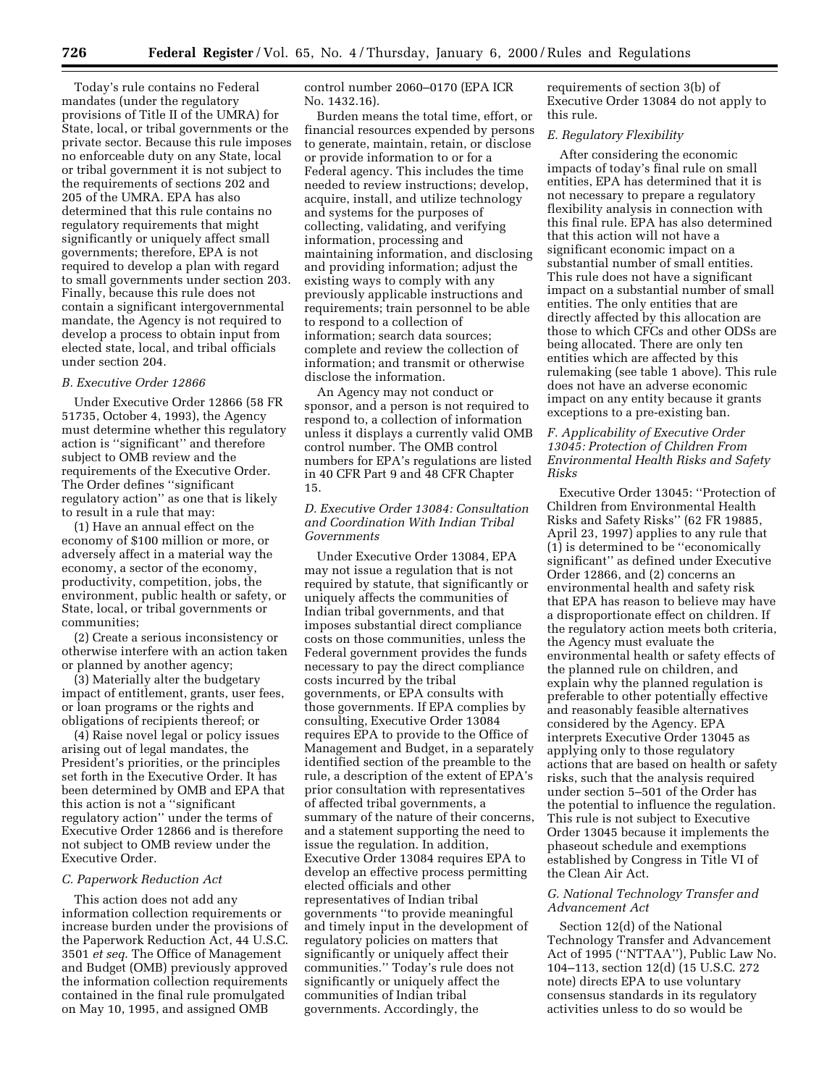Today's rule contains no Federal mandates (under the regulatory provisions of Title II of the UMRA) for State, local, or tribal governments or the private sector. Because this rule imposes no enforceable duty on any State, local or tribal government it is not subject to the requirements of sections 202 and 205 of the UMRA. EPA has also determined that this rule contains no regulatory requirements that might significantly or uniquely affect small governments; therefore, EPA is not required to develop a plan with regard to small governments under section 203. Finally, because this rule does not contain a significant intergovernmental mandate, the Agency is not required to develop a process to obtain input from elected state, local, and tribal officials under section 204.

#### *B. Executive Order 12866*

Under Executive Order 12866 (58 FR 51735, October 4, 1993), the Agency must determine whether this regulatory action is ''significant'' and therefore subject to OMB review and the requirements of the Executive Order. The Order defines ''significant regulatory action'' as one that is likely to result in a rule that may:

(1) Have an annual effect on the economy of \$100 million or more, or adversely affect in a material way the economy, a sector of the economy, productivity, competition, jobs, the environment, public health or safety, or State, local, or tribal governments or communities;

(2) Create a serious inconsistency or otherwise interfere with an action taken or planned by another agency;

(3) Materially alter the budgetary impact of entitlement, grants, user fees, or loan programs or the rights and obligations of recipients thereof; or

(4) Raise novel legal or policy issues arising out of legal mandates, the President's priorities, or the principles set forth in the Executive Order. It has been determined by OMB and EPA that this action is not a ''significant regulatory action'' under the terms of Executive Order 12866 and is therefore not subject to OMB review under the Executive Order.

#### *C. Paperwork Reduction Act*

This action does not add any information collection requirements or increase burden under the provisions of the Paperwork Reduction Act, 44 U.S.C. 3501 *et seq.* The Office of Management and Budget (OMB) previously approved the information collection requirements contained in the final rule promulgated on May 10, 1995, and assigned OMB

control number 2060–0170 (EPA ICR No. 1432.16).

Burden means the total time, effort, or financial resources expended by persons to generate, maintain, retain, or disclose or provide information to or for a Federal agency. This includes the time needed to review instructions; develop, acquire, install, and utilize technology and systems for the purposes of collecting, validating, and verifying information, processing and maintaining information, and disclosing and providing information; adjust the existing ways to comply with any previously applicable instructions and requirements; train personnel to be able to respond to a collection of information; search data sources; complete and review the collection of information; and transmit or otherwise disclose the information.

An Agency may not conduct or sponsor, and a person is not required to respond to, a collection of information unless it displays a currently valid OMB control number. The OMB control numbers for EPA's regulations are listed in 40 CFR Part 9 and 48 CFR Chapter 15.

#### *D. Executive Order 13084: Consultation and Coordination With Indian Tribal Governments*

Under Executive Order 13084, EPA may not issue a regulation that is not required by statute, that significantly or uniquely affects the communities of Indian tribal governments, and that imposes substantial direct compliance costs on those communities, unless the Federal government provides the funds necessary to pay the direct compliance costs incurred by the tribal governments, or EPA consults with those governments. If EPA complies by consulting, Executive Order 13084 requires EPA to provide to the Office of Management and Budget, in a separately identified section of the preamble to the rule, a description of the extent of EPA's prior consultation with representatives of affected tribal governments, a summary of the nature of their concerns, and a statement supporting the need to issue the regulation. In addition, Executive Order 13084 requires EPA to develop an effective process permitting elected officials and other representatives of Indian tribal governments ''to provide meaningful and timely input in the development of regulatory policies on matters that significantly or uniquely affect their communities.'' Today's rule does not significantly or uniquely affect the communities of Indian tribal governments. Accordingly, the

requirements of section 3(b) of Executive Order 13084 do not apply to this rule.

# *E. Regulatory Flexibility*

After considering the economic impacts of today's final rule on small entities, EPA has determined that it is not necessary to prepare a regulatory flexibility analysis in connection with this final rule. EPA has also determined that this action will not have a significant economic impact on a substantial number of small entities. This rule does not have a significant impact on a substantial number of small entities. The only entities that are directly affected by this allocation are those to which CFCs and other ODSs are being allocated. There are only ten entities which are affected by this rulemaking (see table 1 above). This rule does not have an adverse economic impact on any entity because it grants exceptions to a pre-existing ban.

## *F. Applicability of Executive Order 13045: Protection of Children From Environmental Health Risks and Safety Risks*

Executive Order 13045: ''Protection of Children from Environmental Health Risks and Safety Risks'' (62 FR 19885, April 23, 1997) applies to any rule that (1) is determined to be ''economically significant'' as defined under Executive Order 12866, and (2) concerns an environmental health and safety risk that EPA has reason to believe may have a disproportionate effect on children. If the regulatory action meets both criteria, the Agency must evaluate the environmental health or safety effects of the planned rule on children, and explain why the planned regulation is preferable to other potentially effective and reasonably feasible alternatives considered by the Agency. EPA interprets Executive Order 13045 as applying only to those regulatory actions that are based on health or safety risks, such that the analysis required under section 5–501 of the Order has the potential to influence the regulation. This rule is not subject to Executive Order 13045 because it implements the phaseout schedule and exemptions established by Congress in Title VI of the Clean Air Act.

## *G. National Technology Transfer and Advancement Act*

Section 12(d) of the National Technology Transfer and Advancement Act of 1995 (''NTTAA''), Public Law No. 104–113, section 12(d) (15 U.S.C. 272 note) directs EPA to use voluntary consensus standards in its regulatory activities unless to do so would be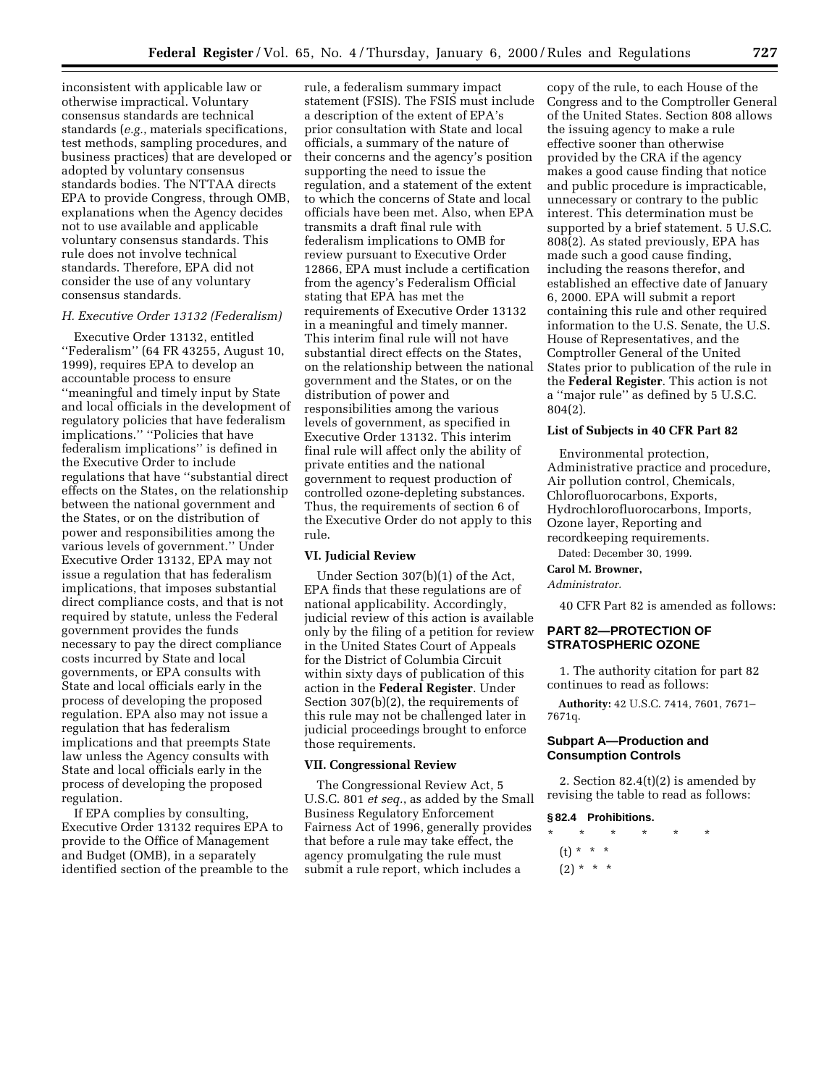inconsistent with applicable law or otherwise impractical. Voluntary consensus standards are technical standards (*e.g.*, materials specifications, test methods, sampling procedures, and business practices) that are developed or adopted by voluntary consensus standards bodies. The NTTAA directs EPA to provide Congress, through OMB, explanations when the Agency decides not to use available and applicable voluntary consensus standards. This rule does not involve technical standards. Therefore, EPA did not consider the use of any voluntary consensus standards.

## *H. Executive Order 13132 (Federalism)*

Executive Order 13132, entitled ''Federalism'' (64 FR 43255, August 10, 1999), requires EPA to develop an accountable process to ensure ''meaningful and timely input by State and local officials in the development of regulatory policies that have federalism implications.'' ''Policies that have federalism implications'' is defined in the Executive Order to include regulations that have ''substantial direct effects on the States, on the relationship between the national government and the States, or on the distribution of power and responsibilities among the various levels of government.'' Under Executive Order 13132, EPA may not issue a regulation that has federalism implications, that imposes substantial direct compliance costs, and that is not required by statute, unless the Federal government provides the funds necessary to pay the direct compliance costs incurred by State and local governments, or EPA consults with State and local officials early in the process of developing the proposed regulation. EPA also may not issue a regulation that has federalism implications and that preempts State law unless the Agency consults with State and local officials early in the process of developing the proposed regulation.

If EPA complies by consulting, Executive Order 13132 requires EPA to provide to the Office of Management and Budget (OMB), in a separately identified section of the preamble to the

rule, a federalism summary impact statement (FSIS). The FSIS must include a description of the extent of EPA's prior consultation with State and local officials, a summary of the nature of their concerns and the agency's position supporting the need to issue the regulation, and a statement of the extent to which the concerns of State and local officials have been met. Also, when EPA transmits a draft final rule with federalism implications to OMB for review pursuant to Executive Order 12866, EPA must include a certification from the agency's Federalism Official stating that EPA has met the requirements of Executive Order 13132 in a meaningful and timely manner. This interim final rule will not have substantial direct effects on the States, on the relationship between the national government and the States, or on the distribution of power and responsibilities among the various levels of government, as specified in Executive Order 13132. This interim final rule will affect only the ability of private entities and the national government to request production of controlled ozone-depleting substances. Thus, the requirements of section 6 of the Executive Order do not apply to this rule.

### **VI. Judicial Review**

Under Section 307(b)(1) of the Act, EPA finds that these regulations are of national applicability. Accordingly, judicial review of this action is available only by the filing of a petition for review in the United States Court of Appeals for the District of Columbia Circuit within sixty days of publication of this action in the **Federal Register**. Under Section 307(b)(2), the requirements of this rule may not be challenged later in judicial proceedings brought to enforce those requirements.

#### **VII. Congressional Review**

The Congressional Review Act, 5 U.S.C. 801 *et seq.*, as added by the Small Business Regulatory Enforcement Fairness Act of 1996, generally provides that before a rule may take effect, the agency promulgating the rule must submit a rule report, which includes a

copy of the rule, to each House of the Congress and to the Comptroller General of the United States. Section 808 allows the issuing agency to make a rule effective sooner than otherwise provided by the CRA if the agency makes a good cause finding that notice and public procedure is impracticable, unnecessary or contrary to the public interest. This determination must be supported by a brief statement. 5 U.S.C. 808(2). As stated previously, EPA has made such a good cause finding, including the reasons therefor, and established an effective date of January 6, 2000. EPA will submit a report containing this rule and other required information to the U.S. Senate, the U.S. House of Representatives, and the Comptroller General of the United States prior to publication of the rule in the **Federal Register**. This action is not a ''major rule'' as defined by 5 U.S.C. 804(2).

### **List of Subjects in 40 CFR Part 82**

Environmental protection, Administrative practice and procedure, Air pollution control, Chemicals, Chlorofluorocarbons, Exports, Hydrochlorofluorocarbons, Imports, Ozone layer, Reporting and recordkeeping requirements. Dated: December 30, 1999.

# **Carol M. Browner,**

*Administrator.*

40 CFR Part 82 is amended as follows:

## **PART 82—PROTECTION OF STRATOSPHERIC OZONE**

1. The authority citation for part 82 continues to read as follows:

**Authority:** 42 U.S.C. 7414, 7601, 7671– 7671q.

## **Subpart A—Production and Consumption Controls**

2. Section  $82.4(t)(2)$  is amended by revising the table to read as follows:

#### **§ 82.4 Prohibitions.**

\* \* \* \* \* \* (t) \* \* \*  $(2) * * * *$